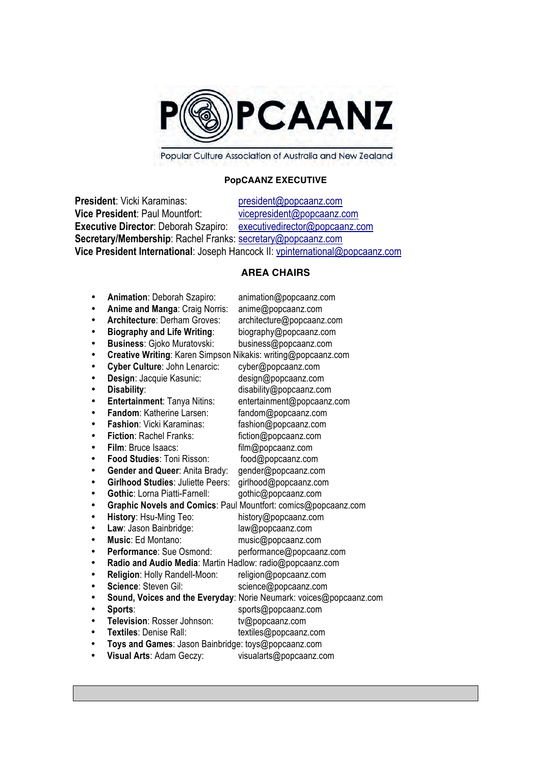

Popular Culture Association of Australia and New Zealand

# **PopCAANZ EXECUTIVE**

**President**: Vicki Karaminas: president@popcaanz.com **Vice President: Paul Mountfort:** vicepresident@popcaanz.com **Executive Director**: Deborah Szapiro: executivedirector@popcaanz.com **Secretary/Membership**: Rachel Franks: secretary@popcaanz.com **Vice President International**: Joseph Hancock II: vpinternational@popcaanz.com

# **AREA CHAIRS**

|           | Animation: Deborah Szapiro:                                   | animation@popcaanz.com                                             |
|-----------|---------------------------------------------------------------|--------------------------------------------------------------------|
|           | Anime and Manga: Craig Norris:                                | anime@popcaanz.com                                                 |
|           | <b>Architecture: Derham Groves:</b>                           | architecture@popcaanz.com                                          |
| ٠         | <b>Biography and Life Writing:</b>                            | biography@popcaanz.com                                             |
|           | <b>Business: Gjoko Muratovski:</b>                            | business@popcaanz.com                                              |
| ٠         | Creative Writing: Karen Simpson Nikakis: writing@popcaanz.com |                                                                    |
|           | Cyber Culture: John Lenarcic:                                 | cyber@popcaanz.com                                                 |
| ٠         | Design: Jacquie Kasunic:                                      | design@popcaanz.com                                                |
|           | Disability:                                                   | disability@popcaanz.com                                            |
|           | Entertainment: Tanya Nitins:                                  | entertainment@popcaanz.com                                         |
|           | Fandom: Katherine Larsen:                                     | fandom@popcaanz.com                                                |
|           | <b>Fashion: Vicki Karaminas:</b>                              | fashion@popcaanz.com                                               |
|           | Fiction: Rachel Franks:                                       | fiction@popcaanz.com                                               |
| ٠         | Film: Bruce Isaacs:                                           | film@popcaanz.com                                                  |
|           | Food Studies: Toni Risson:                                    | food@popcaanz.com                                                  |
|           | Gender and Queer: Anita Brady:                                | gender@popcaanz.com                                                |
| ٠         | <b>Girlhood Studies: Juliette Peers:</b>                      | girlhood@popcaanz.com                                              |
|           | Gothic: Lorna Piatti-Farnell:                                 | gothic@popcaanz.com                                                |
| ٠         |                                                               | Graphic Novels and Comics: Paul Mountfort: comics@popcaanz.com     |
|           | History: Hsu-Ming Teo:                                        | history@popcaanz.com                                               |
| ٠         | Law: Jason Bainbridge:                                        | law@popcaanz.com                                                   |
|           | Music: Ed Montano:                                            | music@popcaanz.com                                                 |
| $\bullet$ | <b>Performance: Sue Osmond:</b>                               | performance@popcaanz.com                                           |
|           | Radio and Audio Media: Martin Hadlow: radio@popcaanz.com      |                                                                    |
| ٠         | Religion: Holly Randell-Moon:                                 | religion@popcaanz.com                                              |
|           | Science: Steven Gil:                                          | science@popcaanz.com                                               |
| ٠         |                                                               | Sound, Voices and the Everyday: Norie Neumark: voices@popcaanz.com |
| ٠         | Sports:                                                       | sports@popcaanz.com                                                |
| ٠         | Television: Rosser Johnson:                                   | tv@popcaanz.com                                                    |
| ٠         | Textiles: Denise Rall:                                        | textiles@popcaanz.com                                              |
|           | Toys and Games: Jason Bainbridge: toys@popcaanz.com           |                                                                    |
|           | Visual Arts: Adam Geczy:                                      | visualarts@popcaanz.com                                            |
|           |                                                               |                                                                    |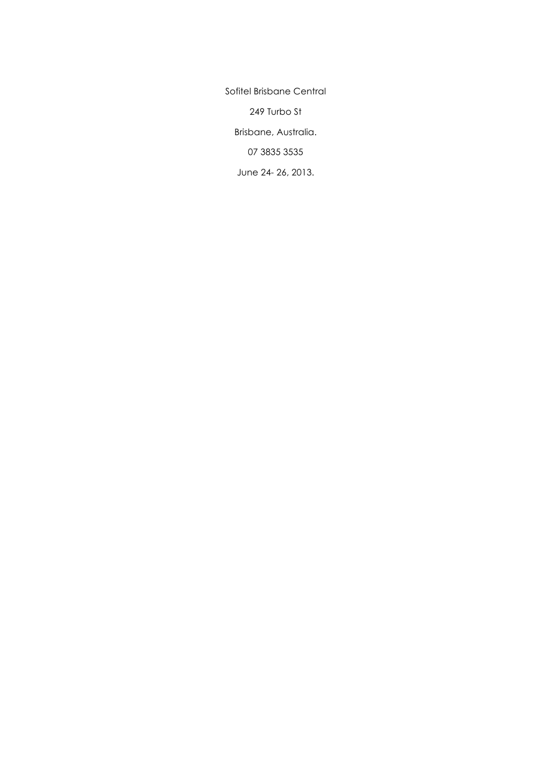Sofitel Brisbane Central 249 Turbo St Brisbane, Australia. 07 3835 3535 June 24- 26, 2013.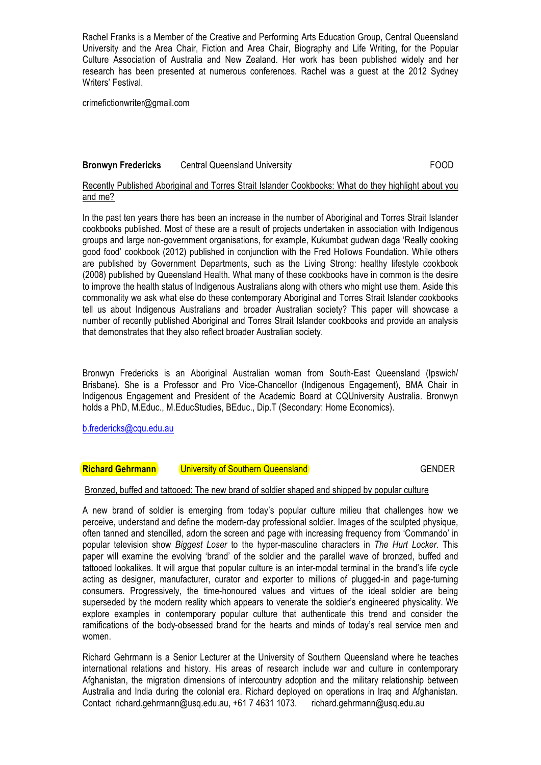Rachel Franks is a Member of the Creative and Performing Arts Education Group, Central Queensland University and the Area Chair, Fiction and Area Chair, Biography and Life Writing, for the Popular Culture Association of Australia and New Zealand. Her work has been published widely and her research has been presented at numerous conferences. Rachel was a guest at the 2012 Sydney Writers' Festival.

crimefictionwriter@gmail.com

## **Bronwyn Fredericks** Central Queensland University **FOOD** COD

## Recently Published Aboriginal and Torres Strait Islander Cookbooks: What do they highlight about you and me?

In the past ten years there has been an increase in the number of Aboriginal and Torres Strait Islander cookbooks published. Most of these are a result of projects undertaken in association with Indigenous groups and large non-government organisations, for example, Kukumbat gudwan daga 'Really cooking good food' cookbook (2012) published in conjunction with the Fred Hollows Foundation. While others are published by Government Departments, such as the Living Strong: healthy lifestyle cookbook (2008) published by Queensland Health. What many of these cookbooks have in common is the desire to improve the health status of Indigenous Australians along with others who might use them. Aside this commonality we ask what else do these contemporary Aboriginal and Torres Strait Islander cookbooks tell us about Indigenous Australians and broader Australian society? This paper will showcase a number of recently published Aboriginal and Torres Strait Islander cookbooks and provide an analysis that demonstrates that they also reflect broader Australian society.

Bronwyn Fredericks is an Aboriginal Australian woman from South-East Queensland (Ipswich/ Brisbane). She is a Professor and Pro Vice-Chancellor (Indigenous Engagement), BMA Chair in Indigenous Engagement and President of the Academic Board at CQUniversity Australia. Bronwyn holds a PhD, M.Educ., M.EducStudies, BEduc., Dip.T (Secondary: Home Economics).

b.fredericks@cqu.edu.au

## **Richard Gehrmann** University of Southern Queensland GENDER GENDER

## Bronzed, buffed and tattooed: The new brand of soldier shaped and shipped by popular culture

A new brand of soldier is emerging from today's popular culture milieu that challenges how we perceive, understand and define the modern-day professional soldier. Images of the sculpted physique, often tanned and stencilled, adorn the screen and page with increasing frequency from 'Commando' in popular television show *Biggest Loser* to the hyper-masculine characters in *The Hurt Locker*. This paper will examine the evolving 'brand' of the soldier and the parallel wave of bronzed, buffed and tattooed lookalikes. It will argue that popular culture is an inter-modal terminal in the brand's life cycle acting as designer, manufacturer, curator and exporter to millions of plugged-in and page-turning consumers. Progressively, the time-honoured values and virtues of the ideal soldier are being superseded by the modern reality which appears to venerate the soldier's engineered physicality. We explore examples in contemporary popular culture that authenticate this trend and consider the ramifications of the body-obsessed brand for the hearts and minds of today's real service men and women.

Richard Gehrmann is a Senior Lecturer at the University of Southern Queensland where he teaches international relations and history. His areas of research include war and culture in contemporary Afghanistan, the migration dimensions of intercountry adoption and the military relationship between Australia and India during the colonial era. Richard deployed on operations in Iraq and Afghanistan. Contact richard.gehrmann@usq.edu.au, +61 7 4631 1073. richard.gehrmann@usq.edu.au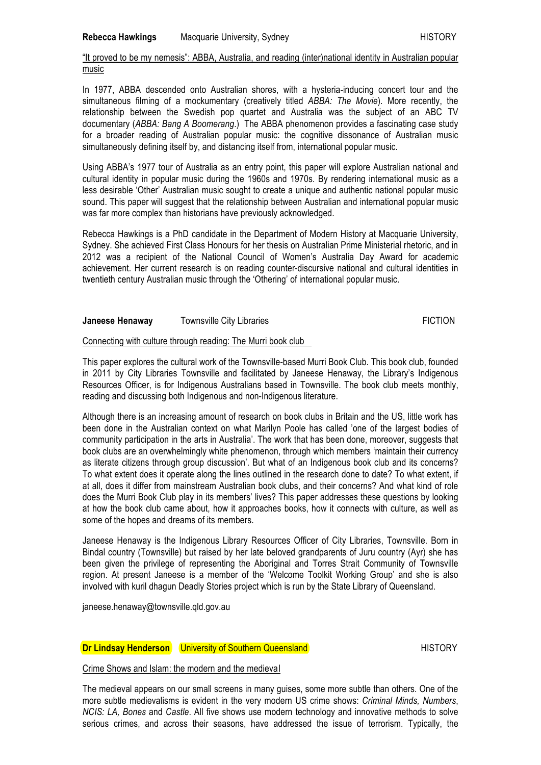## "It proved to be my nemesis": ABBA, Australia, and reading (inter)national identity in Australian popular music

In 1977, ABBA descended onto Australian shores, with a hysteria-inducing concert tour and the simultaneous filming of a mockumentary (creatively titled *ABBA: The Movie*). More recently, the relationship between the Swedish pop quartet and Australia was the subject of an ABC TV documentary (*ABBA: Bang A Boomerang*.) The ABBA phenomenon provides a fascinating case study for a broader reading of Australian popular music: the cognitive dissonance of Australian music simultaneously defining itself by, and distancing itself from, international popular music.

Using ABBA's 1977 tour of Australia as an entry point, this paper will explore Australian national and cultural identity in popular music during the 1960s and 1970s. By rendering international music as a less desirable 'Other' Australian music sought to create a unique and authentic national popular music sound. This paper will suggest that the relationship between Australian and international popular music was far more complex than historians have previously acknowledged.

Rebecca Hawkings is a PhD candidate in the Department of Modern History at Macquarie University, Sydney. She achieved First Class Honours for her thesis on Australian Prime Ministerial rhetoric, and in 2012 was a recipient of the National Council of Women's Australia Day Award for academic achievement. Her current research is on reading counter-discursive national and cultural identities in twentieth century Australian music through the 'Othering' of international popular music.

#### **Janeese Henaway Townsville City Libraries FICTION**

## Connecting with culture through reading: The Murri book club

This paper explores the cultural work of the Townsville-based Murri Book Club. This book club, founded in 2011 by City Libraries Townsville and facilitated by Janeese Henaway, the Library's Indigenous Resources Officer, is for Indigenous Australians based in Townsville. The book club meets monthly, reading and discussing both Indigenous and non-Indigenous literature.

Although there is an increasing amount of research on book clubs in Britain and the US, little work has been done in the Australian context on what Marilyn Poole has called 'one of the largest bodies of community participation in the arts in Australia'. The work that has been done, moreover, suggests that book clubs are an overwhelmingly white phenomenon, through which members 'maintain their currency as literate citizens through group discussion'. But what of an Indigenous book club and its concerns? To what extent does it operate along the lines outlined in the research done to date? To what extent, if at all, does it differ from mainstream Australian book clubs, and their concerns? And what kind of role does the Murri Book Club play in its members' lives? This paper addresses these questions by looking at how the book club came about, how it approaches books, how it connects with culture, as well as some of the hopes and dreams of its members.

Janeese Henaway is the Indigenous Library Resources Officer of City Libraries, Townsville. Born in Bindal country (Townsville) but raised by her late beloved grandparents of Juru country (Ayr) she has been given the privilege of representing the Aboriginal and Torres Strait Community of Townsville region. At present Janeese is a member of the 'Welcome Toolkit Working Group' and she is also involved with kuril dhagun Deadly Stories project which is run by the State Library of Queensland.

janeese.henaway@townsville.qld.gov.au

## **Dr Lindsay Henderson** University of Southern Queensland HISTORY

Crime Shows and Islam: the modern and the medieval

The medieval appears on our small screens in many guises, some more subtle than others. One of the more subtle medievalisms is evident in the very modern US crime shows: *Criminal Minds, Numbers*, *NCIS: LA, Bones* and *Castle*. All five shows use modern technology and innovative methods to solve serious crimes, and across their seasons, have addressed the issue of terrorism. Typically, the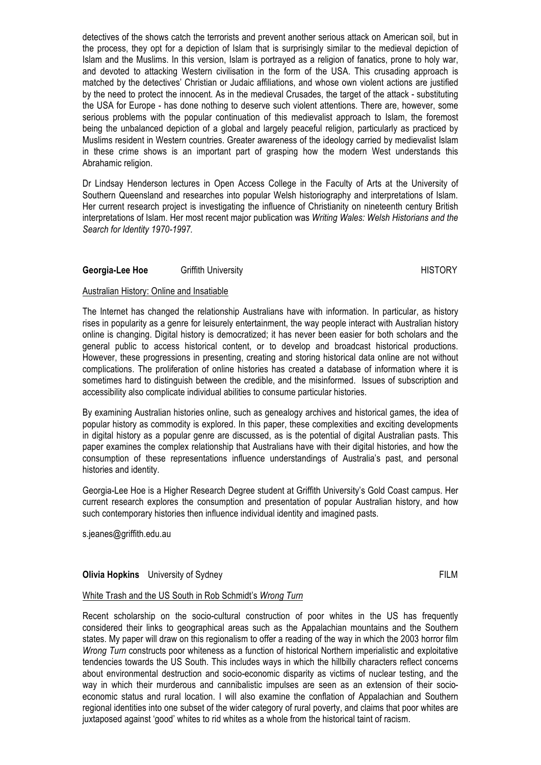detectives of the shows catch the terrorists and prevent another serious attack on American soil, but in the process, they opt for a depiction of Islam that is surprisingly similar to the medieval depiction of Islam and the Muslims. In this version, Islam is portrayed as a religion of fanatics, prone to holy war, and devoted to attacking Western civilisation in the form of the USA. This crusading approach is matched by the detectives' Christian or Judaic affiliations, and whose own violent actions are justified by the need to protect the innocent. As in the medieval Crusades, the target of the attack - substituting the USA for Europe - has done nothing to deserve such violent attentions. There are, however, some serious problems with the popular continuation of this medievalist approach to Islam, the foremost being the unbalanced depiction of a global and largely peaceful religion, particularly as practiced by Muslims resident in Western countries. Greater awareness of the ideology carried by medievalist Islam in these crime shows is an important part of grasping how the modern West understands this Abrahamic religion.

Dr Lindsay Henderson lectures in Open Access College in the Faculty of Arts at the University of Southern Queensland and researches into popular Welsh historiography and interpretations of Islam. Her current research project is investigating the influence of Christianity on nineteenth century British interpretations of Islam. Her most recent major publication was *Writing Wales: Welsh Historians and the Search for Identity 1970-1997.*

## **Georgia-Lee Hoe Griffith University According the Control of the HISTORY** HISTORY

## Australian History: Online and Insatiable

The Internet has changed the relationship Australians have with information. In particular, as history rises in popularity as a genre for leisurely entertainment, the way people interact with Australian history online is changing. Digital history is democratized; it has never been easier for both scholars and the general public to access historical content, or to develop and broadcast historical productions. However, these progressions in presenting, creating and storing historical data online are not without complications. The proliferation of online histories has created a database of information where it is sometimes hard to distinguish between the credible, and the misinformed. Issues of subscription and accessibility also complicate individual abilities to consume particular histories.

By examining Australian histories online, such as genealogy archives and historical games, the idea of popular history as commodity is explored. In this paper, these complexities and exciting developments in digital history as a popular genre are discussed, as is the potential of digital Australian pasts. This paper examines the complex relationship that Australians have with their digital histories, and how the consumption of these representations influence understandings of Australia's past, and personal histories and identity.

Georgia-Lee Hoe is a Higher Research Degree student at Griffith University's Gold Coast campus. Her current research explores the consumption and presentation of popular Australian history, and how such contemporary histories then influence individual identity and imagined pasts.

s.jeanes@griffith.edu.au

## **Olivia Hopkins** University of Sydney FILM **FILM FILM**

## White Trash and the US South in Rob Schmidt's *Wrong Turn*

Recent scholarship on the socio-cultural construction of poor whites in the US has frequently considered their links to geographical areas such as the Appalachian mountains and the Southern states. My paper will draw on this regionalism to offer a reading of the way in which the 2003 horror film *Wrong Turn* constructs poor whiteness as a function of historical Northern imperialistic and exploitative tendencies towards the US South. This includes ways in which the hillbilly characters reflect concerns about environmental destruction and socio-economic disparity as victims of nuclear testing, and the way in which their murderous and cannibalistic impulses are seen as an extension of their socioeconomic status and rural location. I will also examine the conflation of Appalachian and Southern regional identities into one subset of the wider category of rural poverty, and claims that poor whites are juxtaposed against 'good' whites to rid whites as a whole from the historical taint of racism.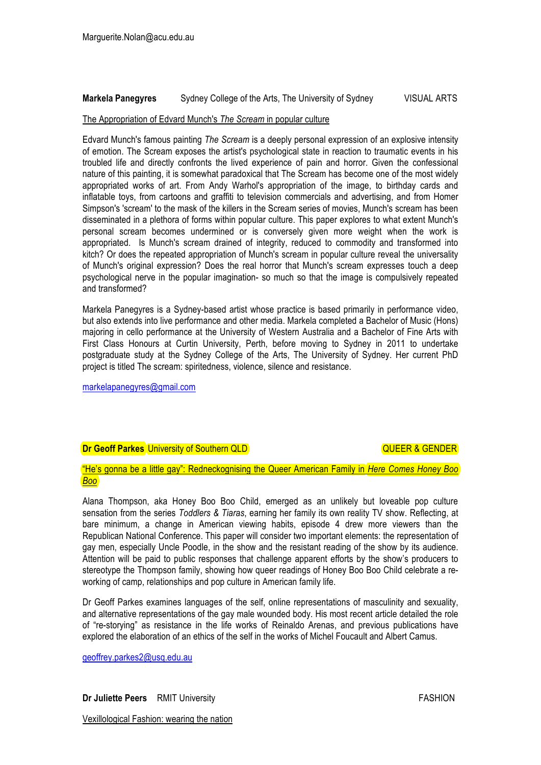## **Markela Panegyres** Sydney College of the Arts, The University of Sydney VISUAL ARTS

## The Appropriation of Edvard Munch's *The Scream* in popular culture

Edvard Munch's famous painting *The Scream* is a deeply personal expression of an explosive intensity of emotion. The Scream exposes the artist's psychological state in reaction to traumatic events in his troubled life and directly confronts the lived experience of pain and horror. Given the confessional nature of this painting, it is somewhat paradoxical that The Scream has become one of the most widely appropriated works of art. From Andy Warhol's appropriation of the image, to birthday cards and inflatable toys, from cartoons and graffiti to television commercials and advertising, and from Homer Simpson's 'scream' to the mask of the killers in the Scream series of movies, Munch's scream has been disseminated in a plethora of forms within popular culture. This paper explores to what extent Munch's personal scream becomes undermined or is conversely given more weight when the work is appropriated. Is Munch's scream drained of integrity, reduced to commodity and transformed into kitch? Or does the repeated appropriation of Munch's scream in popular culture reveal the universality of Munch's original expression? Does the real horror that Munch's scream expresses touch a deep psychological nerve in the popular imagination- so much so that the image is compulsively repeated and transformed?

Markela Panegyres is a Sydney-based artist whose practice is based primarily in performance video, but also extends into live performance and other media. Markela completed a Bachelor of Music (Hons) majoring in cello performance at the University of Western Australia and a Bachelor of Fine Arts with First Class Honours at Curtin University, Perth, before moving to Sydney in 2011 to undertake postgraduate study at the Sydney College of the Arts, The University of Sydney. Her current PhD project is titled The scream: spiritedness, violence, silence and resistance.

markelapanegyres@gmail.com

# **Dr Geoff Parkes** University of Southern QLD **COULCA COULCAN A COULCAN A GENDER**

"He's gonna be a little gay": Redneckognising the Queer American Family in *Here Comes Honey Boo Boo*

Alana Thompson, aka Honey Boo Boo Child, emerged as an unlikely but loveable pop culture sensation from the series *Toddlers & Tiaras*, earning her family its own reality TV show. Reflecting, at bare minimum, a change in American viewing habits, episode 4 drew more viewers than the Republican National Conference. This paper will consider two important elements: the representation of gay men, especially Uncle Poodle, in the show and the resistant reading of the show by its audience. Attention will be paid to public responses that challenge apparent efforts by the show's producers to stereotype the Thompson family, showing how queer readings of Honey Boo Boo Child celebrate a reworking of camp, relationships and pop culture in American family life.

Dr Geoff Parkes examines languages of the self, online representations of masculinity and sexuality, and alternative representations of the gay male wounded body. His most recent article detailed the role of "re-storying" as resistance in the life works of Reinaldo Arenas, and previous publications have explored the elaboration of an ethics of the self in the works of Michel Foucault and Albert Camus.

geoffrey.parkes2@usq.edu.au

Vexillological Fashion: wearing the nation